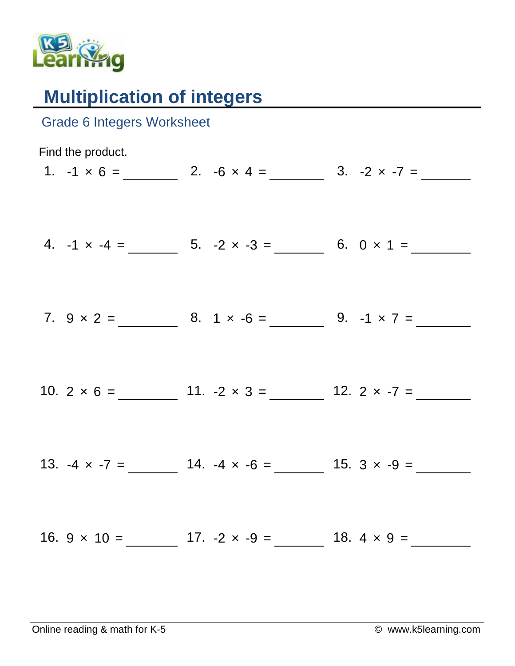

## **Multiplication of integers**

| <b>Grade 6 Integers Worksheet</b> |                                                               |                                                            |
|-----------------------------------|---------------------------------------------------------------|------------------------------------------------------------|
| Find the product.                 |                                                               | 1. $-1 \times 6 =$ 2. $-6 \times 4 =$ 3. $-2 \times -7 =$  |
|                                   | 4. $-1 \times -4 =$ 5. $-2 \times -3 =$ 6. $0 \times 1 =$     |                                                            |
|                                   |                                                               | 7. $9 \times 2 =$ 8. $1 \times -6 =$ 9. $-1 \times 7 =$    |
|                                   |                                                               | 10. $2 \times 6 =$ 11. $-2 \times 3 =$ 12. $2 \times -7 =$ |
|                                   | 13. $-4 \times -7 =$ 14. $-4 \times -6 =$ 15. $3 \times -9 =$ |                                                            |
|                                   |                                                               |                                                            |